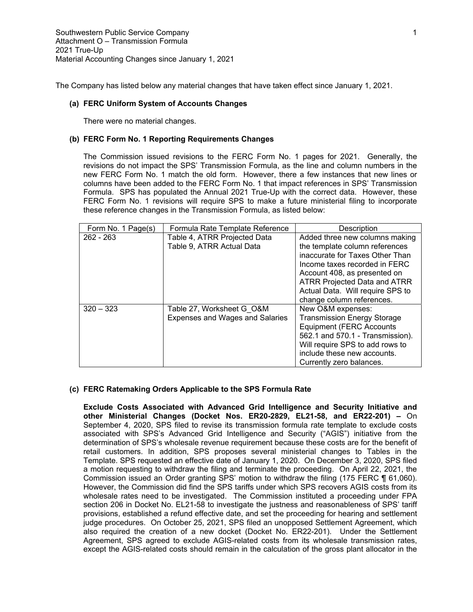The Company has listed below any material changes that have taken effect since January 1, 2021.

#### **(a) FERC Uniform System of Accounts Changes**

There were no material changes.

## **(b) FERC Form No. 1 Reporting Requirements Changes**

The Commission issued revisions to the FERC Form No. 1 pages for 2021. Generally, the revisions do not impact the SPS' Transmission Formula, as the line and column numbers in the new FERC Form No. 1 match the old form. However, there a few instances that new lines or columns have been added to the FERC Form No. 1 that impact references in SPS' Transmission Formula. SPS has populated the Annual 2021 True-Up with the correct data. However, these FERC Form No. 1 revisions will require SPS to make a future ministerial filing to incorporate these reference changes in the Transmission Formula, as listed below:

| Form No. 1 Page(s) | Formula Rate Template Reference | Description                         |
|--------------------|---------------------------------|-------------------------------------|
| $262 - 263$        | Table 4, ATRR Projected Data    | Added three new columns making      |
|                    | Table 9, ATRR Actual Data       | the template column references      |
|                    |                                 | inaccurate for Taxes Other Than     |
|                    |                                 | Income taxes recorded in FERC       |
|                    |                                 | Account 408, as presented on        |
|                    |                                 | <b>ATRR Projected Data and ATRR</b> |
|                    |                                 | Actual Data. Will require SPS to    |
|                    |                                 | change column references.           |
| $320 - 323$        | Table 27, Worksheet G O&M       | New O&M expenses:                   |
|                    | Expenses and Wages and Salaries | <b>Transmission Energy Storage</b>  |
|                    |                                 | <b>Equipment (FERC Accounts</b>     |
|                    |                                 | 562.1 and 570.1 - Transmission).    |
|                    |                                 | Will require SPS to add rows to     |
|                    |                                 | include these new accounts.         |
|                    |                                 | Currently zero balances.            |

# **(c) FERC Ratemaking Orders Applicable to the SPS Formula Rate**

**Exclude Costs Associated with Advanced Grid Intelligence and Security Initiative and other Ministerial Changes (Docket Nos. ER20-2829, EL21-58, and ER22-201) –** On September 4, 2020, SPS filed to revise its transmission formula rate template to exclude costs associated with SPS's Advanced Grid Intelligence and Security ("AGIS") initiative from the determination of SPS's wholesale revenue requirement because these costs are for the benefit of retail customers. In addition, SPS proposes several ministerial changes to Tables in the Template. SPS requested an effective date of January 1, 2020. On December 3, 2020, SPS filed a motion requesting to withdraw the filing and terminate the proceeding. On April 22, 2021, the Commission issued an Order granting SPS' motion to withdraw the filing (175 FERC ¶ 61,060). However, the Commission did find the SPS tariffs under which SPS recovers AGIS costs from its wholesale rates need to be investigated. The Commission instituted a proceeding under FPA section 206 in Docket No. EL21-58 to investigate the justness and reasonableness of SPS' tariff provisions, established a refund effective date, and set the proceeding for hearing and settlement judge procedures. On October 25, 2021, SPS filed an unopposed Settlement Agreement, which also required the creation of a new docket (Docket No. ER22-201). Under the Settlement Agreement, SPS agreed to exclude AGIS-related costs from its wholesale transmission rates, except the AGIS-related costs should remain in the calculation of the gross plant allocator in the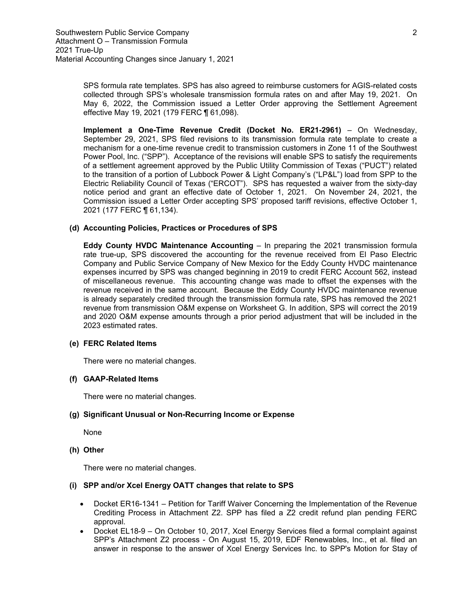SPS formula rate templates. SPS has also agreed to reimburse customers for AGIS-related costs collected through SPS's wholesale transmission formula rates on and after May 19, 2021. On May 6, 2022, the Commission issued a Letter Order approving the Settlement Agreement effective May 19, 2021 (179 FERC ¶ 61,098).

**Implement a One-Time Revenue Credit (Docket No. ER21-2961)** – On Wednesday, September 29, 2021, SPS filed revisions to its transmission formula rate template to create a mechanism for a one-time revenue credit to transmission customers in Zone 11 of the Southwest Power Pool, Inc. ("SPP"). Acceptance of the revisions will enable SPS to satisfy the requirements of a settlement agreement approved by the Public Utility Commission of Texas ("PUCT") related to the transition of a portion of Lubbock Power & Light Company's ("LP&L") load from SPP to the Electric Reliability Council of Texas ("ERCOT"). SPS has requested a waiver from the sixty-day notice period and grant an effective date of October 1, 2021. On November 24, 2021, the Commission issued a Letter Order accepting SPS' proposed tariff revisions, effective October 1, 2021 (177 FERC ¶ 61,134).

### **(d) Accounting Policies, Practices or Procedures of SPS**

**Eddy County HVDC Maintenance Accounting** – In preparing the 2021 transmission formula rate true-up, SPS discovered the accounting for the revenue received from El Paso Electric Company and Public Service Company of New Mexico for the Eddy County HVDC maintenance expenses incurred by SPS was changed beginning in 2019 to credit FERC Account 562, instead of miscellaneous revenue. This accounting change was made to offset the expenses with the revenue received in the same account. Because the Eddy County HVDC maintenance revenue is already separately credited through the transmission formula rate, SPS has removed the 2021 revenue from transmission O&M expense on Worksheet G. In addition, SPS will correct the 2019 and 2020 O&M expense amounts through a prior period adjustment that will be included in the 2023 estimated rates.

## **(e) FERC Related Items**

There were no material changes.

#### **(f) GAAP-Related Items**

There were no material changes.

# **(g) Significant Unusual or Non-Recurring Income or Expense**

None

## **(h) Other**

There were no material changes.

### **(i) SPP and/or Xcel Energy OATT changes that relate to SPS**

- Docket ER16-1341 Petition for Tariff Waiver Concerning the Implementation of the Revenue Crediting Process in Attachment Z2. SPP has filed a Z2 credit refund plan pending FERC approval.
- Docket EL18-9 On October 10, 2017, Xcel Energy Services filed a formal complaint against SPP's Attachment Z2 process - On August 15, 2019, EDF Renewables, Inc., et al. filed an answer in response to the answer of Xcel Energy Services Inc. to SPP's Motion for Stay of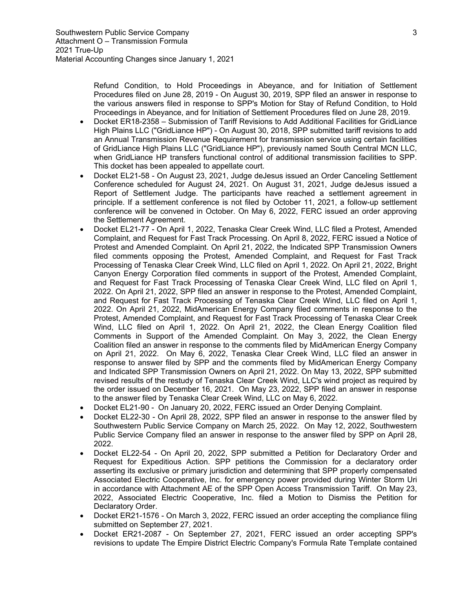Refund Condition, to Hold Proceedings in Abeyance, and for Initiation of Settlement Procedures filed on June 28, 2019 - On August 30, 2019, SPP filed an answer in response to the various answers filed in response to SPP's Motion for Stay of Refund Condition, to Hold Proceedings in Abeyance, and for Initiation of Settlement Procedures filed on June 28, 2019.

- Docket ER18-2358 Submission of Tariff Revisions to Add Additional Facilities for GridLiance High Plains LLC ("GridLiance HP") - On August 30, 2018, SPP submitted tariff revisions to add an Annual Transmission Revenue Requirement for transmission service using certain facilities of GridLiance High Plains LLC ("GridLiance HP"), previously named South Central MCN LLC, when GridLiance HP transfers functional control of additional transmission facilities to SPP. This docket has been appealed to appellate court.
- Docket EL21-58 On August 23, 2021, Judge deJesus issued an Order Canceling Settlement Conference scheduled for August 24, 2021. On August 31, 2021, Judge deJesus issued a Report of Settlement Judge. The participants have reached a settlement agreement in principle. If a settlement conference is not filed by October 11, 2021, a follow-up settlement conference will be convened in October. On May 6, 2022, FERC issued an order approving the Settlement Agreement.
- Docket EL21-77 On April 1, 2022, Tenaska Clear Creek Wind, LLC filed a Protest, Amended Complaint, and Request for Fast Track Processing. On April 8, 2022, FERC issued a Notice of Protest and Amended Complaint. On April 21, 2022, the Indicated SPP Transmission Owners filed comments opposing the Protest, Amended Complaint, and Request for Fast Track Processing of Tenaska Clear Creek Wind, LLC filed on April 1, 2022. On April 21, 2022, Bright Canyon Energy Corporation filed comments in support of the Protest, Amended Complaint, and Request for Fast Track Processing of Tenaska Clear Creek Wind, LLC filed on April 1, 2022. On April 21, 2022, SPP filed an answer in response to the Protest, Amended Complaint, and Request for Fast Track Processing of Tenaska Clear Creek Wind, LLC filed on April 1, 2022. On April 21, 2022, MidAmerican Energy Company filed comments in response to the Protest, Amended Complaint, and Request for Fast Track Processing of Tenaska Clear Creek Wind, LLC filed on April 1, 2022. On April 21, 2022, the Clean Energy Coalition filed Comments in Support of the Amended Complaint. On May 3, 2022, the Clean Energy Coalition filed an answer in response to the comments filed by MidAmerican Energy Company on April 21, 2022. On May 6, 2022, Tenaska Clear Creek Wind, LLC filed an answer in response to answer filed by SPP and the comments filed by MidAmerican Energy Company and Indicated SPP Transmission Owners on April 21, 2022. On May 13, 2022, SPP submitted revised results of the restudy of Tenaska Clear Creek Wind, LLC's wind project as required by the order issued on December 16, 2021. On May 23, 2022, SPP filed an answer in response to the answer filed by Tenaska Clear Creek Wind, LLC on May 6, 2022.
- Docket EL21-90 On January 20, 2022, FERC issued an Order Denying Complaint.
- Docket EL22-30 On April 28, 2022, SPP filed an answer in response to the answer filed by Southwestern Public Service Company on March 25, 2022. On May 12, 2022, Southwestern Public Service Company filed an answer in response to the answer filed by SPP on April 28, 2022.
- Docket EL22-54 On April 20, 2022, SPP submitted a Petition for Declaratory Order and Request for Expeditious Action. SPP petitions the Commission for a declaratory order asserting its exclusive or primary jurisdiction and determining that SPP properly compensated Associated Electric Cooperative, Inc. for emergency power provided during Winter Storm Uri in accordance with Attachment AE of the SPP Open Access Transmission Tariff. On May 23, 2022, Associated Electric Cooperative, Inc. filed a Motion to Dismiss the Petition for Declaratory Order.
- Docket ER21-1576 On March 3, 2022, FERC issued an order accepting the compliance filing submitted on September 27, 2021.
- Docket ER21-2087 On September 27, 2021, FERC issued an order accepting SPP's revisions to update The Empire District Electric Company's Formula Rate Template contained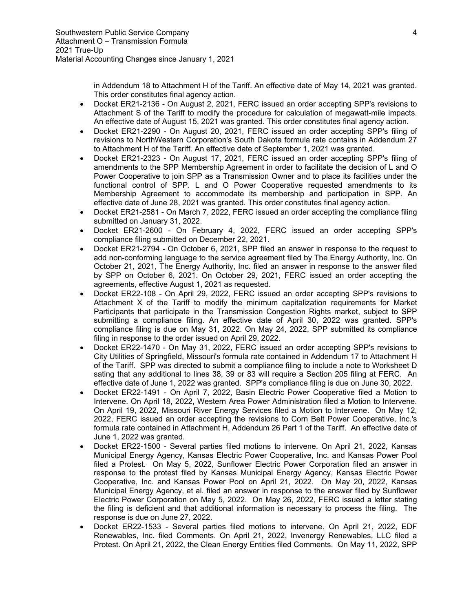in Addendum 18 to Attachment H of the Tariff. An effective date of May 14, 2021 was granted. This order constitutes final agency action.

- Docket ER21-2136 On August 2, 2021, FERC issued an order accepting SPP's revisions to Attachment S of the Tariff to modify the procedure for calculation of megawatt-mile impacts. An effective date of August 15, 2021 was granted. This order constitutes final agency action.
- Docket ER21-2290 On August 20, 2021, FERC issued an order accepting SPP's filing of revisions to NorthWestern Corporation's South Dakota formula rate contains in Addendum 27 to Attachment H of the Tariff. An effective date of September 1, 2021 was granted.
- Docket ER21-2323 On August 17, 2021, FERC issued an order accepting SPP's filing of amendments to the SPP Membership Agreement in order to facilitate the decision of L and O Power Cooperative to join SPP as a Transmission Owner and to place its facilities under the functional control of SPP. L and O Power Cooperative requested amendments to its Membership Agreement to accommodate its membership and participation in SPP. An effective date of June 28, 2021 was granted. This order constitutes final agency action.
- Docket ER21-2581 On March 7, 2022, FERC issued an order accepting the compliance filing submitted on January 31, 2022.
- Docket ER21-2600 On February 4, 2022, FERC issued an order accepting SPP's compliance filing submitted on December 22, 2021.
- Docket ER21-2794 On October 6, 2021, SPP filed an answer in response to the request to add non-conforming language to the service agreement filed by The Energy Authority, Inc. On October 21, 2021, The Energy Authority, Inc. filed an answer in response to the answer filed by SPP on October 6, 2021. On October 29, 2021, FERC issued an order accepting the agreements, effective August 1, 2021 as requested.
- Docket ER22-108 On April 29, 2022, FERC issued an order accepting SPP's revisions to Attachment X of the Tariff to modify the minimum capitalization requirements for Market Participants that participate in the Transmission Congestion Rights market, subject to SPP submitting a compliance filing. An effective date of April 30, 2022 was granted. SPP's compliance filing is due on May 31, 2022. On May 24, 2022, SPP submitted its compliance filing in response to the order issued on April 29, 2022.
- Docket ER22-1470 On May 31, 2022, FERC issued an order accepting SPP's revisions to City Utilities of Springfield, Missouri's formula rate contained in Addendum 17 to Attachment H of the Tariff. SPP was directed to submit a compliance filing to include a note to Worksheet D sating that any additional to lines 38, 39 or 83 will require a Section 205 filing at FERC. An effective date of June 1, 2022 was granted. SPP's compliance filing is due on June 30, 2022.
- Docket ER22-1491 On April 7, 2022, Basin Electric Power Cooperative filed a Motion to Intervene. On April 18, 2022, Western Area Power Administration filed a Motion to Intervene. On April 19, 2022, Missouri River Energy Services filed a Motion to Intervene. On May 12, 2022, FERC issued an order accepting the revisions to Corn Belt Power Cooperative, Inc.'s formula rate contained in Attachment H, Addendum 26 Part 1 of the Tariff. An effective date of June 1, 2022 was granted.
- Docket ER22-1500 Several parties filed motions to intervene. On April 21, 2022, Kansas Municipal Energy Agency, Kansas Electric Power Cooperative, Inc. and Kansas Power Pool filed a Protest. On May 5, 2022, Sunflower Electric Power Corporation filed an answer in response to the protest filed by Kansas Municipal Energy Agency, Kansas Electric Power Cooperative, Inc. and Kansas Power Pool on April 21, 2022. On May 20, 2022, Kansas Municipal Energy Agency, et al. filed an answer in response to the answer filed by Sunflower Electric Power Corporation on May 5, 2022. On May 26, 2022, FERC issued a letter stating the filing is deficient and that additional information is necessary to process the filing. The response is due on June 27, 2022.
- Docket ER22-1533 Several parties filed motions to intervene. On April 21, 2022, EDF Renewables, Inc. filed Comments. On April 21, 2022, Invenergy Renewables, LLC filed a Protest. On April 21, 2022, the Clean Energy Entities filed Comments. On May 11, 2022, SPP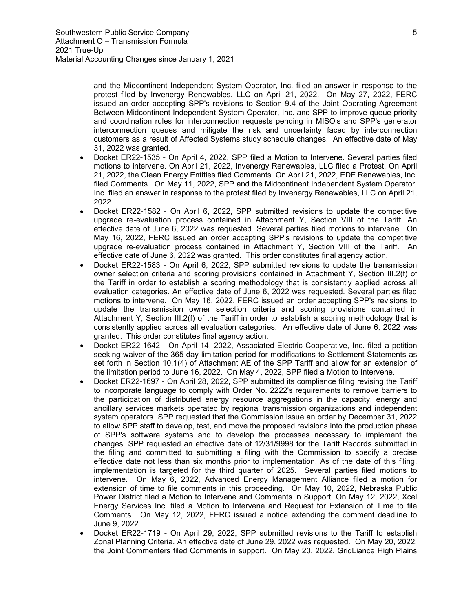and the Midcontinent Independent System Operator, Inc. filed an answer in response to the protest filed by Invenergy Renewables, LLC on April 21, 2022. On May 27, 2022, FERC issued an order accepting SPP's revisions to Section 9.4 of the Joint Operating Agreement Between Midcontinent Independent System Operator, Inc. and SPP to improve queue priority and coordination rules for interconnection requests pending in MISO's and SPP's generator interconnection queues and mitigate the risk and uncertainty faced by interconnection customers as a result of Affected Systems study schedule changes. An effective date of May 31, 2022 was granted.

- Docket ER22-1535 On April 4, 2022, SPP filed a Motion to Intervene. Several parties filed motions to intervene. On April 21, 2022, Invenergy Renewables, LLC filed a Protest. On April 21, 2022, the Clean Energy Entities filed Comments. On April 21, 2022, EDF Renewables, Inc. filed Comments. On May 11, 2022, SPP and the Midcontinent Independent System Operator, Inc. filed an answer in response to the protest filed by Invenergy Renewables, LLC on April 21, 2022.
- Docket ER22-1582 On April 6, 2022, SPP submitted revisions to update the competitive upgrade re-evaluation process contained in Attachment Y, Section VIII of the Tariff. An effective date of June 6, 2022 was requested. Several parties filed motions to intervene. On May 16, 2022, FERC issued an order accepting SPP's revisions to update the competitive upgrade re-evaluation process contained in Attachment Y, Section VIII of the Tariff. An effective date of June 6, 2022 was granted. This order constitutes final agency action.
- Docket ER22-1583 On April 6, 2022, SPP submitted revisions to update the transmission owner selection criteria and scoring provisions contained in Attachment Y, Section III.2(f) of the Tariff in order to establish a scoring methodology that is consistently applied across all evaluation categories. An effective date of June 6, 2022 was requested. Several parties filed motions to intervene. On May 16, 2022, FERC issued an order accepting SPP's revisions to update the transmission owner selection criteria and scoring provisions contained in Attachment Y, Section III.2(f) of the Tariff in order to establish a scoring methodology that is consistently applied across all evaluation categories. An effective date of June 6, 2022 was granted. This order constitutes final agency action.
- Docket ER22-1642 On April 14, 2022, Associated Electric Cooperative, Inc. filed a petition seeking waiver of the 365-day limitation period for modifications to Settlement Statements as set forth in Section 10.1(4) of Attachment AE of the SPP Tariff and allow for an extension of the limitation period to June 16, 2022. On May 4, 2022, SPP filed a Motion to Intervene.
- Docket ER22-1697 On April 28, 2022, SPP submitted its compliance filing revising the Tariff to incorporate language to comply with Order No. 2222's requirements to remove barriers to the participation of distributed energy resource aggregations in the capacity, energy and ancillary services markets operated by regional transmission organizations and independent system operators. SPP requested that the Commission issue an order by December 31, 2022 to allow SPP staff to develop, test, and move the proposed revisions into the production phase of SPP's software systems and to develop the processes necessary to implement the changes. SPP requested an effective date of 12/31/9998 for the Tariff Records submitted in the filing and committed to submitting a filing with the Commission to specify a precise effective date not less than six months prior to implementation. As of the date of this filing, implementation is targeted for the third quarter of 2025. Several parties filed motions to intervene. On May 6, 2022, Advanced Energy Management Alliance filed a motion for extension of time to file comments in this proceeding. On May 10, 2022, Nebraska Public Power District filed a Motion to Intervene and Comments in Support. On May 12, 2022, Xcel Energy Services Inc. filed a Motion to Intervene and Request for Extension of Time to file Comments. On May 12, 2022, FERC issued a notice extending the comment deadline to June 9, 2022.
- Docket ER22-1719 On April 29, 2022, SPP submitted revisions to the Tariff to establish Zonal Planning Criteria. An effective date of June 29, 2022 was requested. On May 20, 2022, the Joint Commenters filed Comments in support. On May 20, 2022, GridLiance High Plains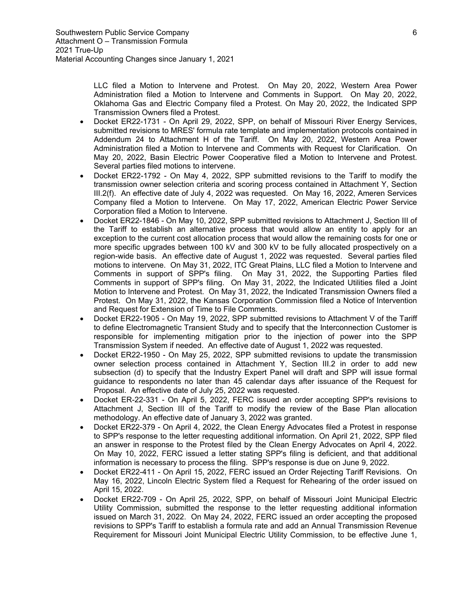LLC filed a Motion to Intervene and Protest. On May 20, 2022, Western Area Power Administration filed a Motion to Intervene and Comments in Support. On May 20, 2022, Oklahoma Gas and Electric Company filed a Protest. On May 20, 2022, the Indicated SPP Transmission Owners filed a Protest.

- Docket ER22-1731 On April 29, 2022, SPP, on behalf of Missouri River Energy Services, submitted revisions to MRES' formula rate template and implementation protocols contained in Addendum 24 to Attachment H of the Tariff. On May 20, 2022, Western Area Power Administration filed a Motion to Intervene and Comments with Request for Clarification. On May 20, 2022, Basin Electric Power Cooperative filed a Motion to Intervene and Protest. Several parties filed motions to intervene.
- Docket ER22-1792 On May 4, 2022, SPP submitted revisions to the Tariff to modify the transmission owner selection criteria and scoring process contained in Attachment Y, Section III.2(f). An effective date of July 4, 2022 was requested. On May 16, 2022, Ameren Services Company filed a Motion to Intervene. On May 17, 2022, American Electric Power Service Corporation filed a Motion to Intervene.
- Docket ER22-1846 On May 10, 2022, SPP submitted revisions to Attachment J, Section III of the Tariff to establish an alternative process that would allow an entity to apply for an exception to the current cost allocation process that would allow the remaining costs for one or more specific upgrades between 100 kV and 300 kV to be fully allocated prospectively on a region-wide basis. An effective date of August 1, 2022 was requested. Several parties filed motions to intervene. On May 31, 2022, ITC Great Plains, LLC filed a Motion to Intervene and Comments in support of SPP's filing. On May 31, 2022, the Supporting Parties filed Comments in support of SPP's filing. On May 31, 2022, the Indicated Utilities filed a Joint Motion to Intervene and Protest. On May 31, 2022, the Indicated Transmission Owners filed a Protest. On May 31, 2022, the Kansas Corporation Commission filed a Notice of Intervention and Request for Extension of Time to File Comments.
- Docket ER22-1905 On May 19, 2022, SPP submitted revisions to Attachment V of the Tariff to define Electromagnetic Transient Study and to specify that the Interconnection Customer is responsible for implementing mitigation prior to the injection of power into the SPP Transmission System if needed. An effective date of August 1, 2022 was requested.
- Docket ER22-1950 On May 25, 2022, SPP submitted revisions to update the transmission owner selection process contained in Attachment Y, Section III.2 in order to add new subsection (d) to specify that the Industry Expert Panel will draft and SPP will issue formal guidance to respondents no later than 45 calendar days after issuance of the Request for Proposal. An effective date of July 25, 2022 was requested.
- Docket ER-22-331 On April 5, 2022, FERC issued an order accepting SPP's revisions to Attachment J, Section III of the Tariff to modify the review of the Base Plan allocation methodology. An effective date of January 3, 2022 was granted.
- Docket ER22-379 On April 4, 2022, the Clean Energy Advocates filed a Protest in response to SPP's response to the letter requesting additional information. On April 21, 2022, SPP filed an answer in response to the Protest filed by the Clean Energy Advocates on April 4, 2022. On May 10, 2022, FERC issued a letter stating SPP's filing is deficient, and that additional information is necessary to process the filing. SPP's response is due on June 9, 2022.
- Docket ER22-411 On April 15, 2022, FERC issued an Order Rejecting Tariff Revisions. On May 16, 2022, Lincoln Electric System filed a Request for Rehearing of the order issued on April 15, 2022.
- Docket ER22-709 On April 25, 2022, SPP, on behalf of Missouri Joint Municipal Electric Utility Commission, submitted the response to the letter requesting additional information issued on March 31, 2022. On May 24, 2022, FERC issued an order accepting the proposed revisions to SPP's Tariff to establish a formula rate and add an Annual Transmission Revenue Requirement for Missouri Joint Municipal Electric Utility Commission, to be effective June 1,